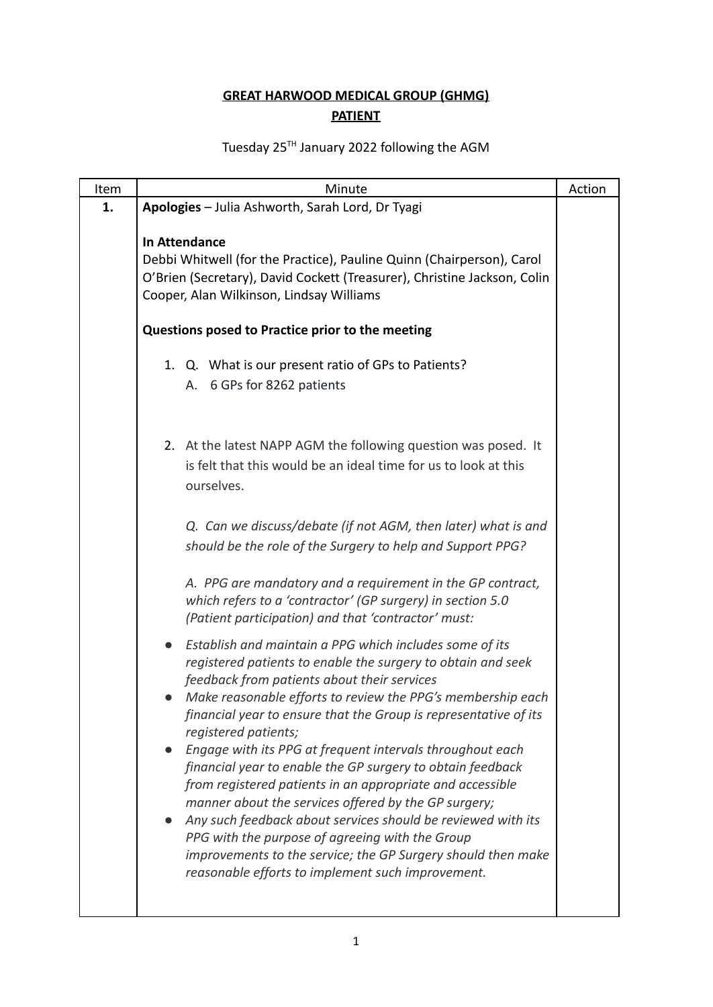## **GREAT HARWOOD MEDICAL GROUP (GHMG) PATIENT**

## Tuesday 25<sup>TH</sup> January 2022 following the AGM

| Item | Minute                                                                                                                                                                                                                                                             | Action |
|------|--------------------------------------------------------------------------------------------------------------------------------------------------------------------------------------------------------------------------------------------------------------------|--------|
| 1.   | Apologies - Julia Ashworth, Sarah Lord, Dr Tyagi                                                                                                                                                                                                                   |        |
|      | In Attendance<br>Debbi Whitwell (for the Practice), Pauline Quinn (Chairperson), Carol<br>O'Brien (Secretary), David Cockett (Treasurer), Christine Jackson, Colin<br>Cooper, Alan Wilkinson, Lindsay Williams<br>Questions posed to Practice prior to the meeting |        |
|      | 1. Q. What is our present ratio of GPs to Patients?                                                                                                                                                                                                                |        |
|      | 6 GPs for 8262 patients<br>А.                                                                                                                                                                                                                                      |        |
|      |                                                                                                                                                                                                                                                                    |        |
|      | 2. At the latest NAPP AGM the following question was posed. It                                                                                                                                                                                                     |        |
|      | is felt that this would be an ideal time for us to look at this<br>ourselves.                                                                                                                                                                                      |        |
|      | Q. Can we discuss/debate (if not AGM, then later) what is and                                                                                                                                                                                                      |        |
|      | should be the role of the Surgery to help and Support PPG?                                                                                                                                                                                                         |        |
|      | A. PPG are mandatory and a requirement in the GP contract,<br>which refers to a 'contractor' (GP surgery) in section 5.0<br>(Patient participation) and that 'contractor' must:                                                                                    |        |
|      | Establish and maintain a PPG which includes some of its<br>registered patients to enable the surgery to obtain and seek<br>feedback from patients about their services                                                                                             |        |
|      | Make reasonable efforts to review the PPG's membership each<br>financial year to ensure that the Group is representative of its<br>registered patients;                                                                                                            |        |
|      | Engage with its PPG at frequent intervals throughout each                                                                                                                                                                                                          |        |
|      | financial year to enable the GP surgery to obtain feedback<br>from registered patients in an appropriate and accessible                                                                                                                                            |        |
|      | manner about the services offered by the GP surgery;                                                                                                                                                                                                               |        |
|      | Any such feedback about services should be reviewed with its<br>PPG with the purpose of agreeing with the Group                                                                                                                                                    |        |
|      | improvements to the service; the GP Surgery should then make<br>reasonable efforts to implement such improvement.                                                                                                                                                  |        |
|      |                                                                                                                                                                                                                                                                    |        |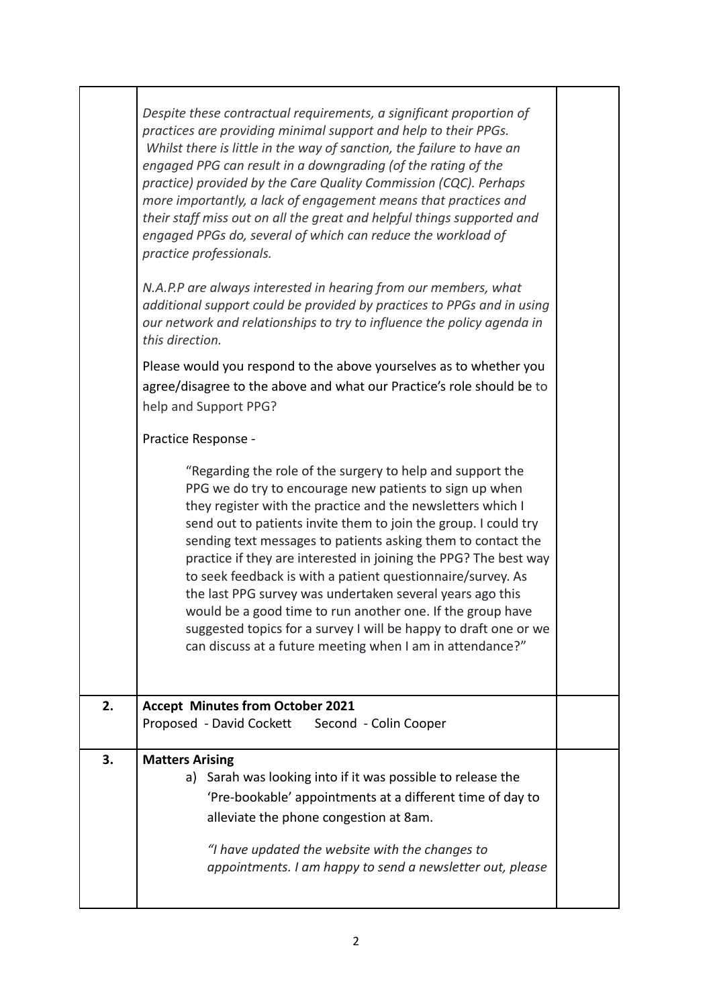|    | Despite these contractual requirements, a significant proportion of<br>practices are providing minimal support and help to their PPGs.<br>Whilst there is little in the way of sanction, the failure to have an<br>engaged PPG can result in a downgrading (of the rating of the<br>practice) provided by the Care Quality Commission (CQC). Perhaps<br>more importantly, a lack of engagement means that practices and<br>their staff miss out on all the great and helpful things supported and<br>engaged PPGs do, several of which can reduce the workload of<br>practice professionals.<br>N.A.P.P are always interested in hearing from our members, what<br>additional support could be provided by practices to PPGs and in using<br>our network and relationships to try to influence the policy agenda in<br>this direction. |  |
|----|----------------------------------------------------------------------------------------------------------------------------------------------------------------------------------------------------------------------------------------------------------------------------------------------------------------------------------------------------------------------------------------------------------------------------------------------------------------------------------------------------------------------------------------------------------------------------------------------------------------------------------------------------------------------------------------------------------------------------------------------------------------------------------------------------------------------------------------|--|
|    | Please would you respond to the above yourselves as to whether you<br>agree/disagree to the above and what our Practice's role should be to<br>help and Support PPG?                                                                                                                                                                                                                                                                                                                                                                                                                                                                                                                                                                                                                                                                   |  |
|    | Practice Response -                                                                                                                                                                                                                                                                                                                                                                                                                                                                                                                                                                                                                                                                                                                                                                                                                    |  |
|    | "Regarding the role of the surgery to help and support the<br>PPG we do try to encourage new patients to sign up when<br>they register with the practice and the newsletters which I<br>send out to patients invite them to join the group. I could try<br>sending text messages to patients asking them to contact the<br>practice if they are interested in joining the PPG? The best way<br>to seek feedback is with a patient questionnaire/survey. As<br>the last PPG survey was undertaken several years ago this<br>would be a good time to run another one. If the group have<br>suggested topics for a survey I will be happy to draft one or we<br>can discuss at a future meeting when I am in attendance?"                                                                                                                 |  |
| 2. | <b>Accept Minutes from October 2021</b><br>Proposed - David Cockett<br>Second - Colin Cooper                                                                                                                                                                                                                                                                                                                                                                                                                                                                                                                                                                                                                                                                                                                                           |  |
| 3. | <b>Matters Arising</b><br>a) Sarah was looking into if it was possible to release the<br>'Pre-bookable' appointments at a different time of day to<br>alleviate the phone congestion at 8am.<br>"I have updated the website with the changes to<br>appointments. I am happy to send a newsletter out, please                                                                                                                                                                                                                                                                                                                                                                                                                                                                                                                           |  |

I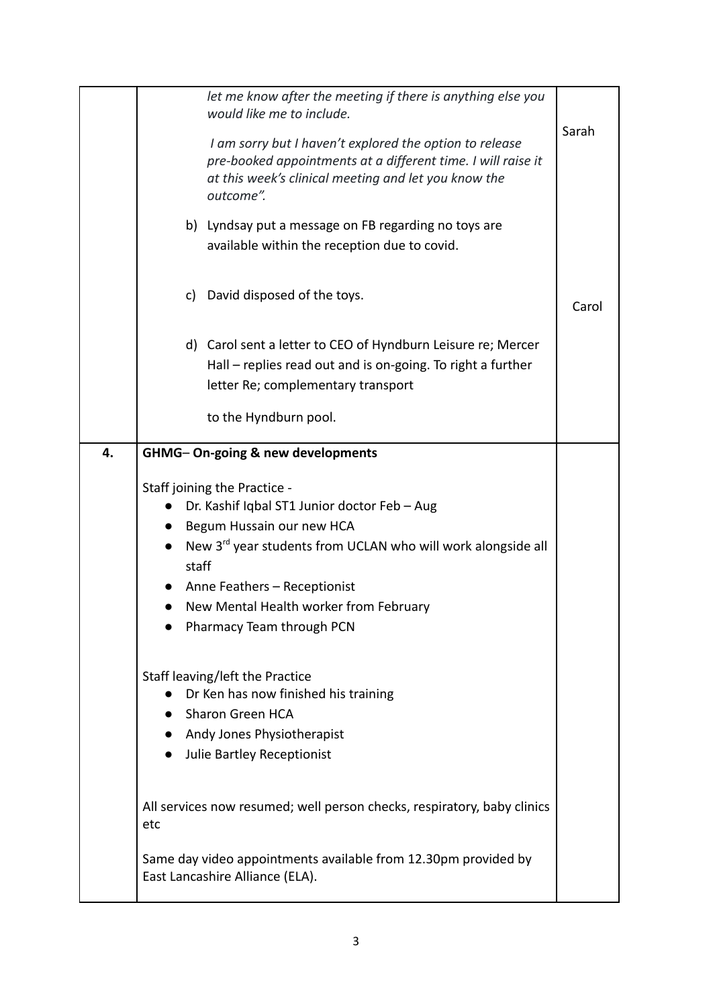|    | let me know after the meeting if there is anything else you<br>would like me to include.<br>I am sorry but I haven't explored the option to release<br>pre-booked appointments at a different time. I will raise it<br>at this week's clinical meeting and let you know the<br>outcome".<br>b) Lyndsay put a message on FB regarding no toys are<br>available within the reception due to covid. | Sarah |
|----|--------------------------------------------------------------------------------------------------------------------------------------------------------------------------------------------------------------------------------------------------------------------------------------------------------------------------------------------------------------------------------------------------|-------|
|    | c) David disposed of the toys.                                                                                                                                                                                                                                                                                                                                                                   | Carol |
|    | d) Carol sent a letter to CEO of Hyndburn Leisure re; Mercer<br>Hall - replies read out and is on-going. To right a further<br>letter Re; complementary transport<br>to the Hyndburn pool.                                                                                                                                                                                                       |       |
|    |                                                                                                                                                                                                                                                                                                                                                                                                  |       |
| 4. | GHMG-On-going & new developments                                                                                                                                                                                                                                                                                                                                                                 |       |
|    | Staff joining the Practice -<br>Dr. Kashif Iqbal ST1 Junior doctor Feb - Aug<br>Begum Hussain our new HCA<br>New 3rd year students from UCLAN who will work alongside all<br>staff<br>Anne Feathers - Receptionist<br>New Mental Health worker from February<br>Pharmacy Team through PCN                                                                                                        |       |
|    | Staff leaving/left the Practice<br>Dr Ken has now finished his training<br><b>Sharon Green HCA</b><br>$\bullet$<br>Andy Jones Physiotherapist<br>Julie Bartley Receptionist<br>$\bullet$                                                                                                                                                                                                         |       |
|    | All services now resumed; well person checks, respiratory, baby clinics<br>etc                                                                                                                                                                                                                                                                                                                   |       |
|    | Same day video appointments available from 12.30pm provided by<br>East Lancashire Alliance (ELA).                                                                                                                                                                                                                                                                                                |       |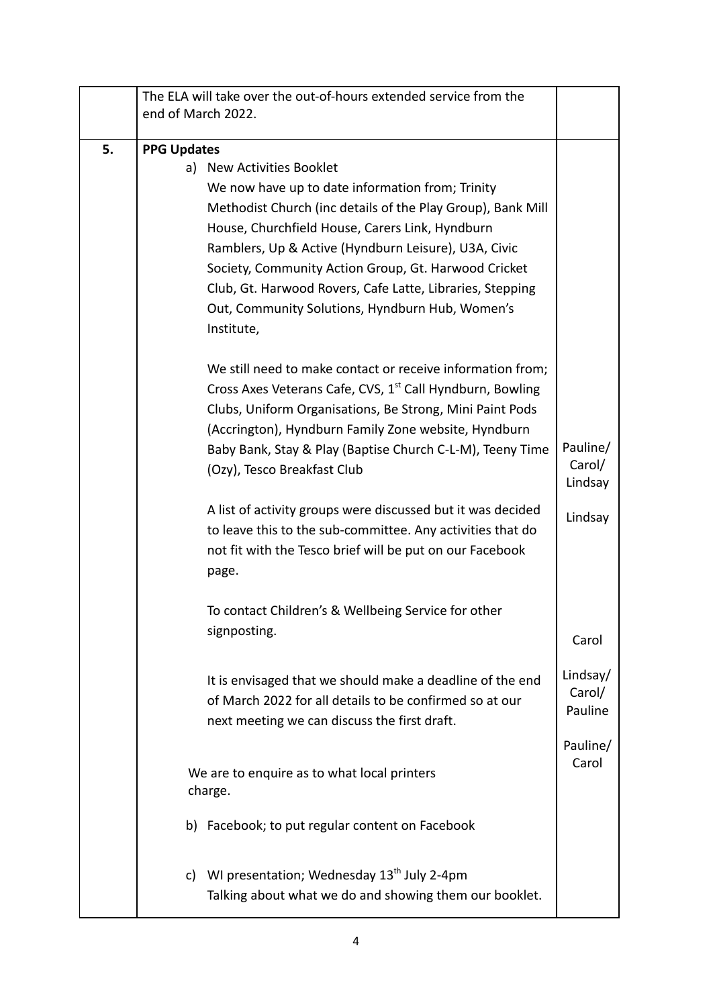|    | The ELA will take over the out-of-hours extended service from the<br>end of March 2022. |          |
|----|-----------------------------------------------------------------------------------------|----------|
| 5. | <b>PPG Updates</b>                                                                      |          |
|    | New Activities Booklet<br>a)                                                            |          |
|    | We now have up to date information from; Trinity                                        |          |
|    | Methodist Church (inc details of the Play Group), Bank Mill                             |          |
|    | House, Churchfield House, Carers Link, Hyndburn                                         |          |
|    | Ramblers, Up & Active (Hyndburn Leisure), U3A, Civic                                    |          |
|    | Society, Community Action Group, Gt. Harwood Cricket                                    |          |
|    | Club, Gt. Harwood Rovers, Cafe Latte, Libraries, Stepping                               |          |
|    | Out, Community Solutions, Hyndburn Hub, Women's<br>Institute,                           |          |
|    | We still need to make contact or receive information from;                              |          |
|    | Cross Axes Veterans Cafe, CVS, 1 <sup>st</sup> Call Hyndburn, Bowling                   |          |
|    | Clubs, Uniform Organisations, Be Strong, Mini Paint Pods                                |          |
|    | (Accrington), Hyndburn Family Zone website, Hyndburn                                    |          |
|    | Baby Bank, Stay & Play (Baptise Church C-L-M), Teeny Time                               | Pauline/ |
|    | (Ozy), Tesco Breakfast Club                                                             | Carol/   |
|    |                                                                                         | Lindsay  |
|    | A list of activity groups were discussed but it was decided                             | Lindsay  |
|    | to leave this to the sub-committee. Any activities that do                              |          |
|    | not fit with the Tesco brief will be put on our Facebook                                |          |
|    | page.                                                                                   |          |
|    | To contact Children's & Wellbeing Service for other                                     |          |
|    | signposting.                                                                            |          |
|    |                                                                                         | Carol    |
|    | It is envisaged that we should make a deadline of the end                               | Lindsay/ |
|    | of March 2022 for all details to be confirmed so at our                                 | Carol/   |
|    | next meeting we can discuss the first draft.                                            | Pauline  |
|    |                                                                                         | Pauline/ |
|    |                                                                                         | Carol    |
|    | We are to enquire as to what local printers<br>charge.                                  |          |
|    | b) Facebook; to put regular content on Facebook                                         |          |
|    | c) WI presentation; Wednesday $13^{th}$ July 2-4pm                                      |          |
|    | Talking about what we do and showing them our booklet.                                  |          |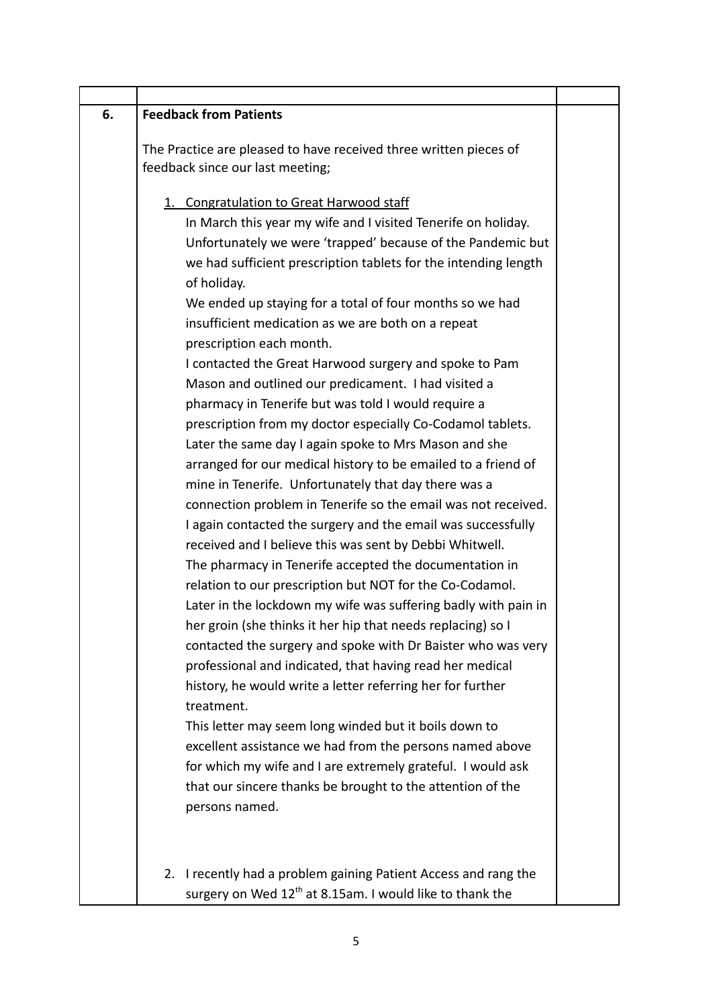| 6. | <b>Feedback from Patients</b>                                                                                                                                                                                                                                                                                                                                                                                                                                                                                                                                                                                                                                                                                                                                                                                                                                                                                                                                                                                                                                                                                                                                                                                                                                                                                                                                                                                                                                                                                                                                                                                                                                                                                                                                   |  |
|----|-----------------------------------------------------------------------------------------------------------------------------------------------------------------------------------------------------------------------------------------------------------------------------------------------------------------------------------------------------------------------------------------------------------------------------------------------------------------------------------------------------------------------------------------------------------------------------------------------------------------------------------------------------------------------------------------------------------------------------------------------------------------------------------------------------------------------------------------------------------------------------------------------------------------------------------------------------------------------------------------------------------------------------------------------------------------------------------------------------------------------------------------------------------------------------------------------------------------------------------------------------------------------------------------------------------------------------------------------------------------------------------------------------------------------------------------------------------------------------------------------------------------------------------------------------------------------------------------------------------------------------------------------------------------------------------------------------------------------------------------------------------------|--|
|    | The Practice are pleased to have received three written pieces of<br>feedback since our last meeting;                                                                                                                                                                                                                                                                                                                                                                                                                                                                                                                                                                                                                                                                                                                                                                                                                                                                                                                                                                                                                                                                                                                                                                                                                                                                                                                                                                                                                                                                                                                                                                                                                                                           |  |
|    | 1. Congratulation to Great Harwood staff<br>In March this year my wife and I visited Tenerife on holiday.<br>Unfortunately we were 'trapped' because of the Pandemic but<br>we had sufficient prescription tablets for the intending length<br>of holiday.<br>We ended up staying for a total of four months so we had<br>insufficient medication as we are both on a repeat<br>prescription each month.<br>I contacted the Great Harwood surgery and spoke to Pam<br>Mason and outlined our predicament. I had visited a<br>pharmacy in Tenerife but was told I would require a<br>prescription from my doctor especially Co-Codamol tablets.<br>Later the same day I again spoke to Mrs Mason and she<br>arranged for our medical history to be emailed to a friend of<br>mine in Tenerife. Unfortunately that day there was a<br>connection problem in Tenerife so the email was not received.<br>I again contacted the surgery and the email was successfully<br>received and I believe this was sent by Debbi Whitwell.<br>The pharmacy in Tenerife accepted the documentation in<br>relation to our prescription but NOT for the Co-Codamol.<br>Later in the lockdown my wife was suffering badly with pain in<br>her groin (she thinks it her hip that needs replacing) so I<br>contacted the surgery and spoke with Dr Baister who was very<br>professional and indicated, that having read her medical<br>history, he would write a letter referring her for further<br>treatment.<br>This letter may seem long winded but it boils down to<br>excellent assistance we had from the persons named above<br>for which my wife and I are extremely grateful. I would ask<br>that our sincere thanks be brought to the attention of the<br>persons named. |  |
|    | 2. I recently had a problem gaining Patient Access and rang the                                                                                                                                                                                                                                                                                                                                                                                                                                                                                                                                                                                                                                                                                                                                                                                                                                                                                                                                                                                                                                                                                                                                                                                                                                                                                                                                                                                                                                                                                                                                                                                                                                                                                                 |  |
|    | surgery on Wed 12 <sup>th</sup> at 8.15am. I would like to thank the                                                                                                                                                                                                                                                                                                                                                                                                                                                                                                                                                                                                                                                                                                                                                                                                                                                                                                                                                                                                                                                                                                                                                                                                                                                                                                                                                                                                                                                                                                                                                                                                                                                                                            |  |